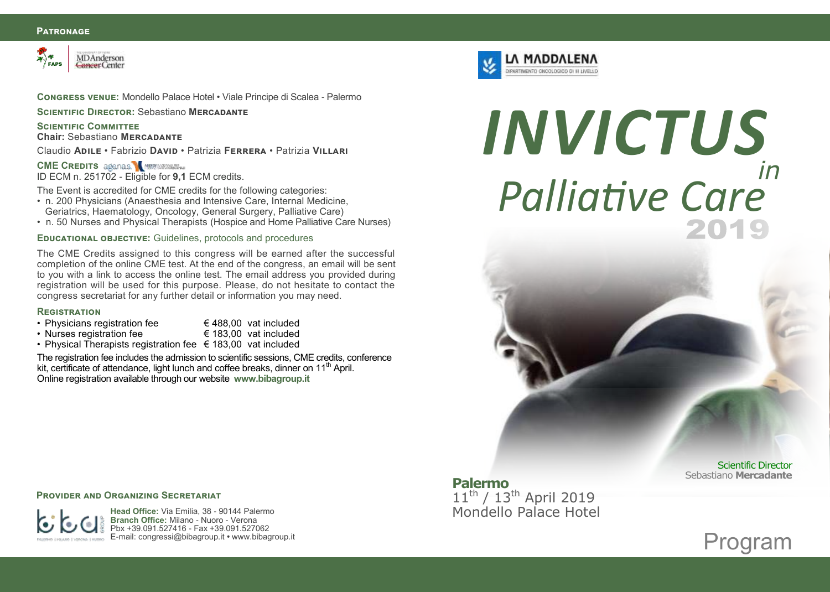### **Patronage**



**Congress venue:** Mondello Palace Hotel • Viale Principe di Scalea - Palermo

**SCIENTIFIC DIRECTOR: Sebastiano MERCADANTE** 

## **SCIENTIFIC COMMITTEE**

**Chair:** Sebastiano **Mercadante**

Claudio **Adile** • Fabrizio **David** • Patrizia **Ferrera** • Patrizia **Villari**

## **CME CREDITS agenas. M MUNICIPAL**

ID ECM n. 251702 - Eligible for **9,1** ECM credits.

The Event is accredited for CME credits for the following categories:

- n. 200 Physicians (Anaesthesia and Intensive Care, Internal Medicine, Geriatrics, Haematology, Oncology, General Surgery, Palliative Care)
- n. 50 Nurses and Physical Therapists (Hospice and Home Palliative Care Nurses)

## **Educational objective:** Guidelines, protocols and procedures

The CME Credits assigned to this congress will be earned after the successful completion of the online CME test. At the end of the congress, an email will be sent to you with a link to access the online test. The email address you provided during registration will be used for this purpose. Please, do not hesitate to contact the congress secretariat for any further detail or information you may need.

#### **Registration**

- Physicians registration fee  $\epsilon$  488,00 vat included
	-
- Nurses registration fee € 183,00 vat included
- Physical Therapists registration fee  $\epsilon$  183,00 vat included

The registration fee includes the admission to scientific sessions, CME credits, conference kit, certificate of attendance, light lunch and coffee breaks, dinner on 11<sup>th</sup> April. Online registration available through our website **www.bibagroup.it**



## *in INVICTUS Palliative Care*

## **Palermo** 11<sup>th</sup> / 13<sup>th</sup> April 2019 Mondello Palace Hotel

Scientific Director Sebastiano **Mercadante**

## **PROVIDER AND ORGANIZING SECRETARIAT**



**Head Office:** Via Emilia, 38 - 90144 Palermo **Branch Office:** Milano - Nuoro - Verona Pbx +39.091.527416 - Fax +39.091.527062 E-mail: congressi@bibagroup.it **•** www.bibagroup.it

Program